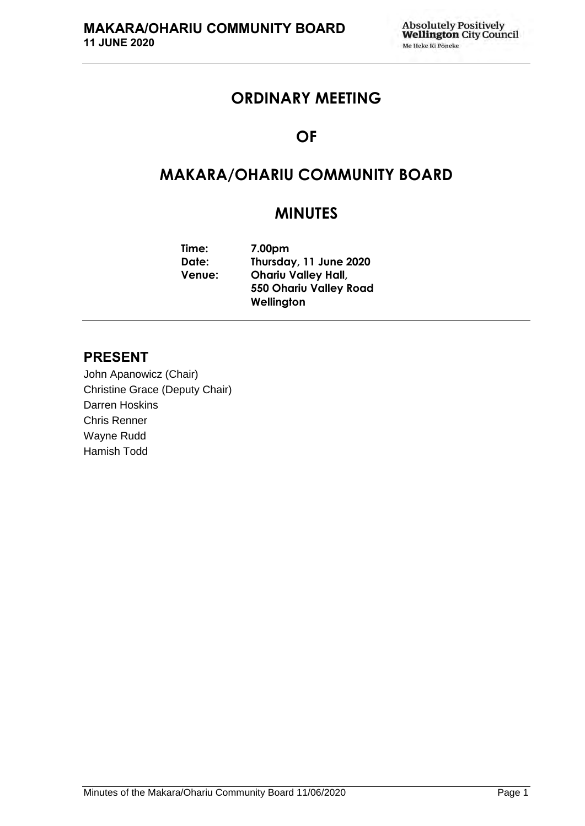# **ORDINARY MEETING**

# **OF**

# **MAKARA/OHARIU COMMUNITY BOARD**

# **MINUTES**

**Time: 7.00pm Date: Thursday, 11 June 2020 Venue: Ohariu Valley Hall, 550 Ohariu Valley Road Wellington**

# **PRESENT**

John Apanowicz (Chair) Christine Grace (Deputy Chair) Darren Hoskins Chris Renner Wayne Rudd Hamish Todd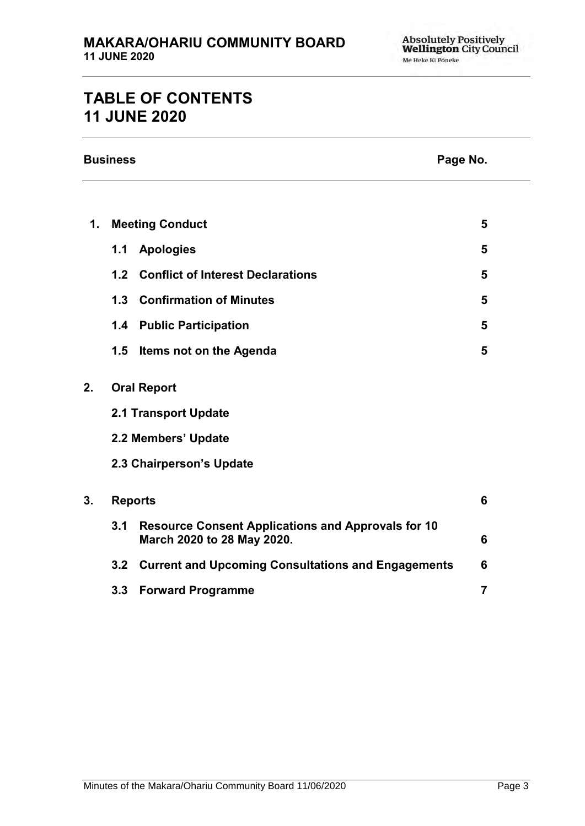# **TABLE OF CONTENTS 11 JUNE 2020**

|    | <b>Business</b><br>Page No. |                                                                                         |                |  |  |
|----|-----------------------------|-----------------------------------------------------------------------------------------|----------------|--|--|
|    |                             |                                                                                         |                |  |  |
| 1. | <b>Meeting Conduct</b>      |                                                                                         | 5              |  |  |
|    | 1.1                         | <b>Apologies</b>                                                                        | 5              |  |  |
|    | 1.2                         | <b>Conflict of Interest Declarations</b>                                                | 5              |  |  |
|    |                             | 1.3 Confirmation of Minutes                                                             | 5              |  |  |
|    | 1.4                         | <b>Public Participation</b>                                                             | 5              |  |  |
|    | 1.5                         | Items not on the Agenda                                                                 | 5              |  |  |
| 2. |                             | <b>Oral Report</b>                                                                      |                |  |  |
|    | 2.1 Transport Update        |                                                                                         |                |  |  |
|    | 2.2 Members' Update         |                                                                                         |                |  |  |
|    | 2.3 Chairperson's Update    |                                                                                         |                |  |  |
| 3. | <b>Reports</b>              |                                                                                         | 6              |  |  |
|    | 3.1                         | <b>Resource Consent Applications and Approvals for 10</b><br>March 2020 to 28 May 2020. | 6              |  |  |
|    |                             | 3.2 Current and Upcoming Consultations and Engagements                                  | 6              |  |  |
|    |                             | 3.3 Forward Programme                                                                   | $\overline{7}$ |  |  |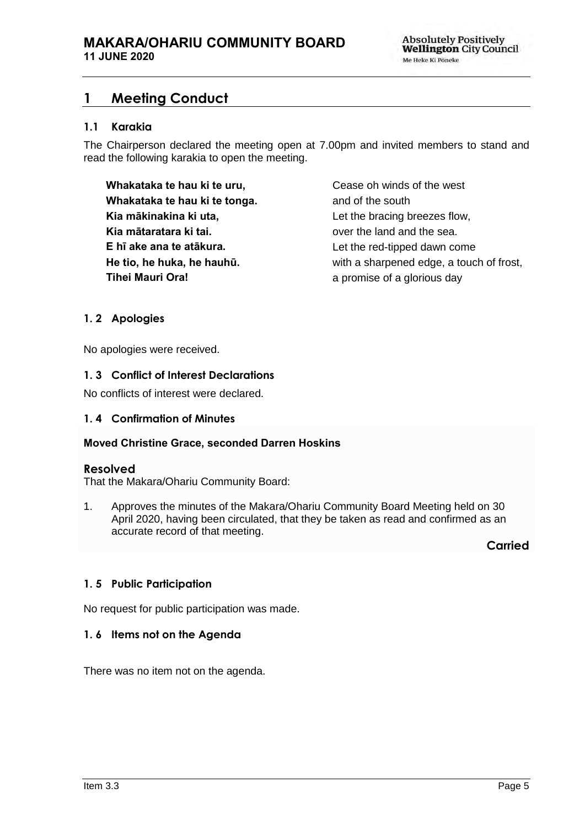# <span id="page-4-0"></span>**1 Meeting Conduct**

## **1.1 Karakia**

The Chairperson declared the meeting open at 7.00pm and invited members to stand and read the following karakia to open the meeting.

**Whakataka te hau ki te uru, Whakataka te hau ki te tonga. Kia mākinakina ki uta, Kia mātaratara ki tai. E hī ake ana te atākura. He tio, he huka, he hauhū. Tihei Mauri Ora!**

Cease oh winds of the west and of the south Let the bracing breezes flow, over the land and the sea. Let the red-tipped dawn come with a sharpened edge, a touch of frost, a promise of a glorious day

## <span id="page-4-1"></span>**1. 2 Apologies**

No apologies were received.

### <span id="page-4-2"></span>**1. 3 Conflict of Interest Declarations**

No conflicts of interest were declared.

### <span id="page-4-3"></span>**1. 4 Confirmation of Minutes**

#### **Moved Christine Grace, seconded Darren Hoskins**

#### **Resolved**

That the Makara/Ohariu Community Board:

1. Approves the minutes of the Makara/Ohariu Community Board Meeting held on 30 April 2020, having been circulated, that they be taken as read and confirmed as an accurate record of that meeting.

**Carried**

#### <span id="page-4-5"></span>**1. 5 Public Participation**

No request for public participation was made.

#### <span id="page-4-4"></span>**1. 6 Items not on the Agenda**

There was no item not on the agenda.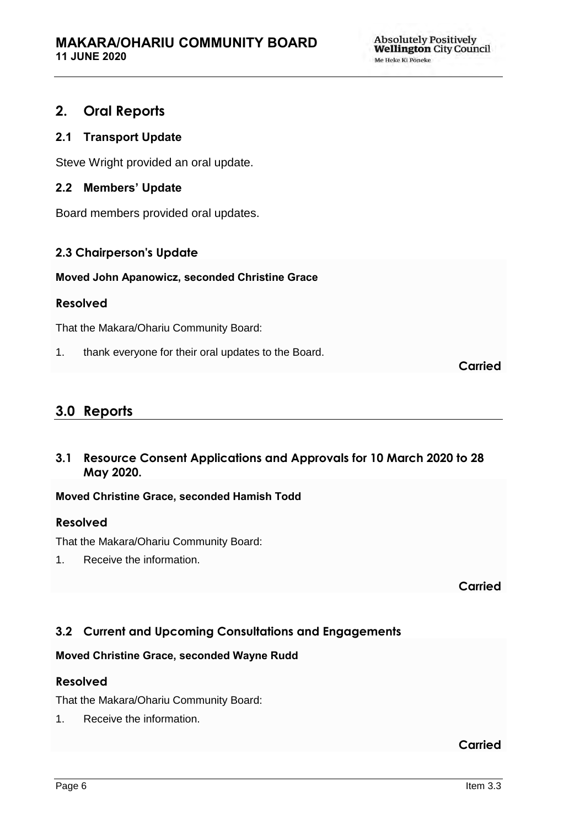# <span id="page-5-0"></span>**2. Oral Reports**

# **2.1 Transport Update**

Steve Wright provided an oral update.

## **2.2 Members' Update**

Board members provided oral updates.

# **2.3 Chairperson's Update**

**Moved John Apanowicz, seconded Christine Grace**

## **Resolved**

That the Makara/Ohariu Community Board:

1. thank everyone for their oral updates to the Board.

**Carried**

# **3.0 Reports**

<span id="page-5-1"></span>**3.1 Resource Consent Applications and Approvals for 10 March 2020 to 28 May 2020.**

## **Moved Christine Grace, seconded Hamish Todd**

## **Resolved**

That the Makara/Ohariu Community Board:

1. Receive the information.

**Carried**

# <span id="page-5-2"></span>**3.2 Current and Upcoming Consultations and Engagements**

## **Moved Christine Grace, seconded Wayne Rudd**

## **Resolved**

That the Makara/Ohariu Community Board:

1. Receive the information.

**Carried**